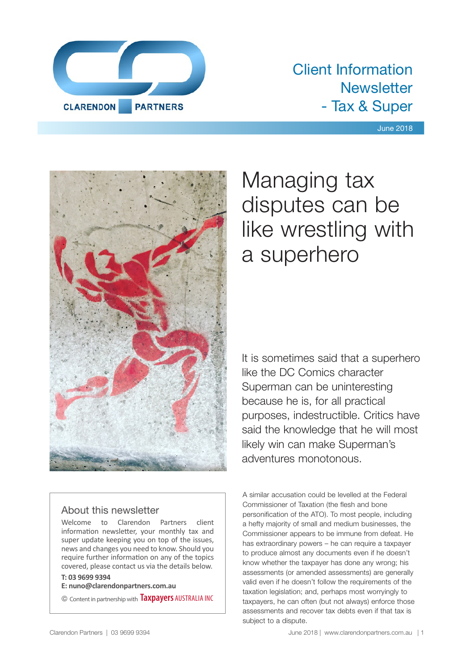

### Client Information **Newsletter** - Tax & Super

#### June 2018



#### About this newsletter

Welcome to Clarendon Partners client information newsletter, your monthly tax and super update keeping you on top of the issues, news and changes you need to know. Should you require further information on any of the topics covered, please contact us via the details below.

#### **T: 03 9699 9394**

**E: nuno@clarendonpartners.com.au**

© Content in partnership with **Taxpayers** AUSTRALIA INC

## Managing tax disputes can be like wrestling with a superhero

It is sometimes said that a superhero like the DC Comics character Superman can be uninteresting because he is, for all practical purposes, indestructible. Critics have said the knowledge that he will most likely win can make Superman's adventures monotonous.

A similar accusation could be levelled at the Federal Commissioner of Taxation (the flesh and bone personification of the ATO). To most people, including a hefty majority of small and medium businesses, the Commissioner appears to be immune from defeat. He has extraordinary powers – he can require a taxpayer to produce almost any documents even if he doesn't know whether the taxpayer has done any wrong; his assessments (or amended assessments) are generally valid even if he doesn't follow the requirements of the taxation legislation; and, perhaps most worryingly to taxpayers, he can often (but not always) enforce those assessments and recover tax debts even if that tax is subject to a dispute.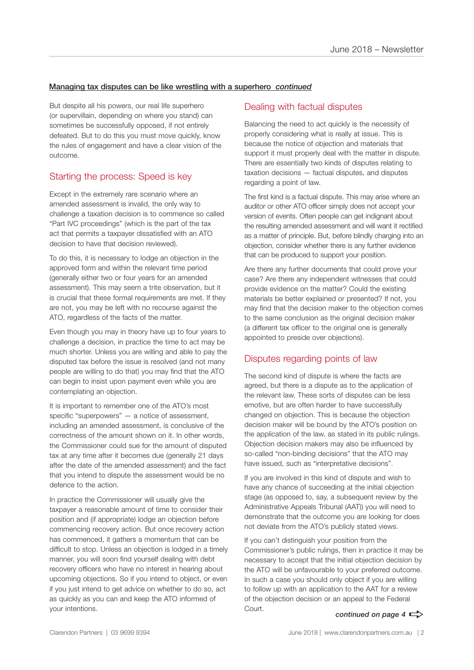#### Managing tax disputes can be like wrestling with a superhero *continued*

But despite all his powers, our real life superhero (or supervillain, depending on where you stand) can sometimes be successfully opposed, if not entirely defeated. But to do this you must move quickly, know the rules of engagement and have a clear vision of the outcome.

#### Starting the process: Speed is key

Except in the extremely rare scenario where an amended assessment is invalid, the only way to challenge a taxation decision is to commence so called "Part IVC proceedings" (which is the part of the tax act that permits a taxpayer dissatisfied with an ATO decision to have that decision reviewed).

To do this, it is necessary to lodge an objection in the approved form and within the relevant time period (generally either two or four years for an amended assessment). This may seem a trite observation, but it is crucial that these formal requirements are met. If they are not, you may be left with no recourse against the ATO, regardless of the facts of the matter.

Even though you may in theory have up to four years to challenge a decision, in practice the time to act may be much shorter. Unless you are willing and able to pay the disputed tax before the issue is resolved (and not many people are willing to do that) you may find that the ATO can begin to insist upon payment even while you are contemplating an objection.

It is important to remember one of the ATO's most specific "superpowers" — a notice of assessment, including an amended assessment, is conclusive of the correctness of the amount shown on it. In other words, the Commissioner could sue for the amount of disputed tax at any time after it becomes due (generally 21 days after the date of the amended assessment) and the fact that you intend to dispute the assessment would be no defence to the action.

In practice the Commissioner will usually give the taxpayer a reasonable amount of time to consider their position and (if appropriate) lodge an objection before commencing recovery action. But once recovery action has commenced, it gathers a momentum that can be difficult to stop. Unless an objection is lodged in a timely manner, you will soon find yourself dealing with debt recovery officers who have no interest in hearing about upcoming objections. So if you intend to object, or even if you just intend to get advice on whether to do so, act as quickly as you can and keep the ATO informed of your intentions.

#### Dealing with factual disputes

Balancing the need to act quickly is the necessity of properly considering what is really at issue. This is because the notice of objection and materials that support it must properly deal with the matter in dispute. There are essentially two kinds of disputes relating to taxation decisions — factual disputes, and disputes regarding a point of law.

The first kind is a factual dispute. This may arise where an auditor or other ATO officer simply does not accept your version of events. Often people can get indignant about the resulting amended assessment and will want it rectified as a matter of principle. But, before blindly charging into an objection, consider whether there is any further evidence that can be produced to support your position.

Are there any further documents that could prove your case? Are there any independent witnesses that could provide evidence on the matter? Could the existing materials be better explained or presented? If not, you may find that the decision maker to the objection comes to the same conclusion as the original decision maker (a different tax officer to the original one is generally appointed to preside over objections).

#### Disputes regarding points of law

The second kind of dispute is where the facts are agreed, but there is a dispute as to the application of the relevant law. These sorts of disputes can be less emotive, but are often harder to have successfully changed on objection. This is because the objection decision maker will be bound by the ATO's position on the application of the law, as stated in its public rulings. Objection decision makers may also be influenced by so-called "non-binding decisions" that the ATO may have issued, such as "interpretative decisions".

If you are involved in this kind of dispute and wish to have any chance of succeeding at the initial objection stage (as opposed to, say, a subsequent review by the Administrative Appeals Tribunal (AAT)) you will need to demonstrate that the outcome you are looking for does not deviate from the ATO's publicly stated views.

If you can't distinguish your position from the Commissioner's public rulings, then in practice it may be necessary to accept that the initial objection decision by the ATO will be unfavourable to your preferred outcome. In such a case you should only object if you are willing to follow up with an application to the AAT for a review of the objection decision or an appeal to the Federal Court.

#### *continued on page 4*  $\Rightarrow$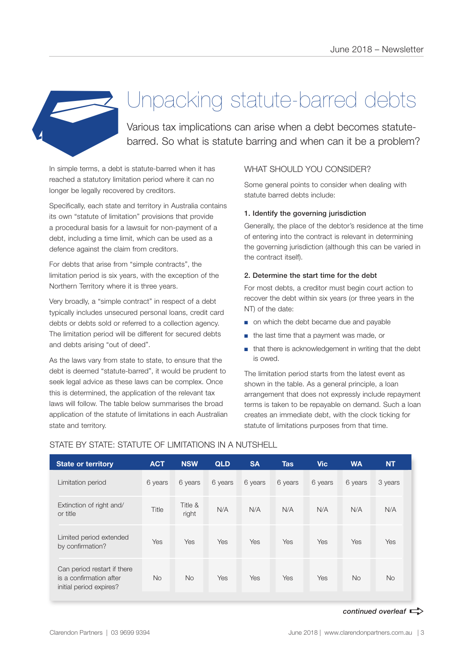

## Unpacking statute-barred debts

Various tax implications can arise when a debt becomes statutebarred. So what is statute barring and when can it be a problem?

In simple terms, a debt is statute-barred when it has reached a statutory limitation period where it can no longer be legally recovered by creditors.

Specifically, each state and territory in Australia contains its own "statute of limitation" provisions that provide a procedural basis for a lawsuit for non-payment of a debt, including a time limit, which can be used as a defence against the claim from creditors.

For debts that arise from "simple contracts", the limitation period is six years, with the exception of the Northern Territory where it is three years.

Very broadly, a "simple contract" in respect of a debt typically includes unsecured personal loans, credit card debts or debts sold or referred to a collection agency. The limitation period will be different for secured debts and debts arising "out of deed".

As the laws vary from state to state, to ensure that the debt is deemed "statute-barred", it would be prudent to seek legal advice as these laws can be complex. Once this is determined, the application of the relevant tax laws will follow. The table below summarises the broad application of the statute of limitations in each Australian state and territory.

#### WHAT SHOULD YOU CONSIDER?

Some general points to consider when dealing with statute barred debts include:

#### 1. Identify the governing jurisdiction

Generally, the place of the debtor's residence at the time of entering into the contract is relevant in determining the governing jurisdiction (although this can be varied in the contract itself).

#### 2. Determine the start time for the debt

For most debts, a creditor must begin court action to recover the debt within six years (or three years in the NT) of the date:

- on which the debt became due and payable
- the last time that a payment was made, or
- that there is acknowledgement in writing that the debt is owed.

The limitation period starts from the latest event as shown in the table. As a general principle, a loan arrangement that does not expressly include repayment terms is taken to be repayable on demand. Such a loan creates an immediate debt, with the clock ticking for statute of limitations purposes from that time.

| <b>State or territory</b>                                                         | <b>ACT</b> | <b>NSW</b>       | <b>QLD</b> | <b>SA</b> | <b>Tas</b> | <b>Vic</b> | <b>WA</b> | <b>NT</b> |
|-----------------------------------------------------------------------------------|------------|------------------|------------|-----------|------------|------------|-----------|-----------|
| Limitation period                                                                 | 6 years    | 6 years          | 6 years    | 6 years   | 6 years    | 6 years    | 6 years   | 3 years   |
| Extinction of right and/<br>or title                                              | Title      | Title &<br>right | N/A        | N/A       | N/A        | N/A        | N/A       | N/A       |
| Limited period extended<br>by confirmation?                                       | Yes        | Yes              | Yes        | Yes       | Yes        | Yes        | Yes       | Yes       |
| Can period restart if there<br>is a confirmation after<br>initial period expires? | <b>No</b>  | <b>No</b>        | Yes        | Yes       | Yes        | Yes        | <b>No</b> | <b>No</b> |

#### STATE BY STATE: STATUTE OF LIMITATIONS IN A NUTSHELL

*continued overleaf*  $\Rightarrow$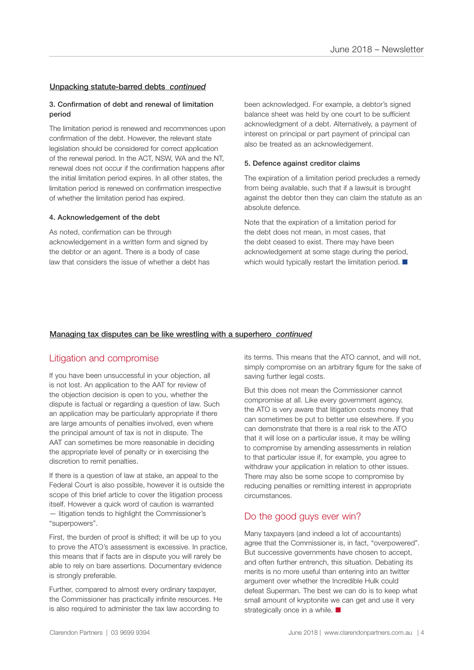#### Unpacking statute-barred debts *continued*

#### 3. Confirmation of debt and renewal of limitation period

The limitation period is renewed and recommences upon confirmation of the debt. However, the relevant state legislation should be considered for correct application of the renewal period. In the ACT, NSW, WA and the NT, renewal does not occur if the confirmation happens after the initial limitation period expires. In all other states, the limitation period is renewed on confirmation irrespective of whether the limitation period has expired.

#### 4. Acknowledgement of the debt

As noted, confirmation can be through acknowledgement in a written form and signed by the debtor or an agent. There is a body of case law that considers the issue of whether a debt has been acknowledged. For example, a debtor's signed balance sheet was held by one court to be sufficient acknowledgment of a debt. Alternatively, a payment of interest on principal or part payment of principal can also be treated as an acknowledgement.

#### 5. Defence against creditor claims

The expiration of a limitation period precludes a remedy from being available, such that if a lawsuit is brought against the debtor then they can claim the statute as an absolute defence.

Note that the expiration of a limitation period for the debt does not mean, in most cases, that the debt ceased to exist. There may have been acknowledgement at some stage during the period, which would typically restart the limitation period.  $\blacksquare$ 

#### Managing tax disputes can be like wrestling with a superhero *continued*

#### Litigation and compromise

If you have been unsuccessful in your objection, all is not lost. An application to the AAT for review of the objection decision is open to you, whether the dispute is factual or regarding a question of law. Such an application may be particularly appropriate if there are large amounts of penalties involved, even where the principal amount of tax is not in dispute. The AAT can sometimes be more reasonable in deciding the appropriate level of penalty or in exercising the discretion to remit penalties.

If there is a question of law at stake, an appeal to the Federal Court is also possible, however it is outside the scope of this brief article to cover the litigation process itself. However a quick word of caution is warranted — litigation tends to highlight the Commissioner's "superpowers".

First, the burden of proof is shifted; it will be up to you to prove the ATO's assessment is excessive. In practice, this means that if facts are in dispute you will rarely be able to rely on bare assertions. Documentary evidence is strongly preferable.

Further, compared to almost every ordinary taxpayer, the Commissioner has practically infinite resources. He is also required to administer the tax law according to

its terms. This means that the ATO cannot, and will not, simply compromise on an arbitrary figure for the sake of saving further legal costs.

But this does not mean the Commissioner cannot compromise at all. Like every government agency, the ATO is very aware that litigation costs money that can sometimes be put to better use elsewhere. If you can demonstrate that there is a real risk to the ATO that it will lose on a particular issue, it may be willing to compromise by amending assessments in relation to that particular issue if, for example, you agree to withdraw your application in relation to other issues. There may also be some scope to compromise by reducing penalties or remitting interest in appropriate circumstances.

#### Do the good guys ever win?

Many taxpayers (and indeed a lot of accountants) agree that the Commissioner is, in fact, "overpowered". But successive governments have chosen to accept, and often further entrench, this situation. Debating its merits is no more useful than entering into an twitter argument over whether the Incredible Hulk could defeat Superman. The best we can do is to keep what small amount of kryptonite we can get and use it very strategically once in a while.  $\blacksquare$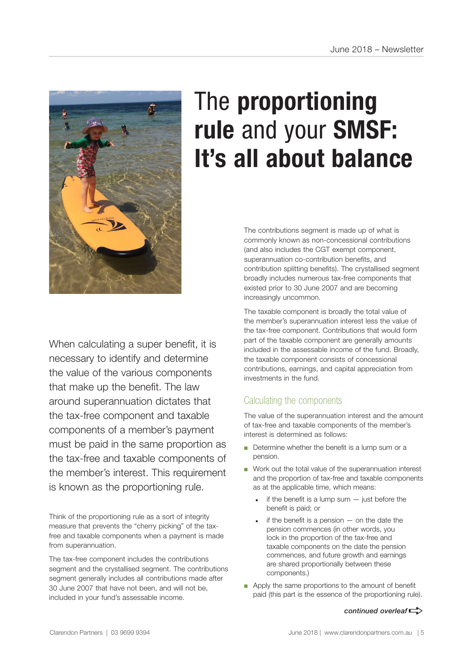

## The **proportioning rule** and your **SMSF: It's all about balance**

The contributions segment is made up of what is commonly known as non-concessional contributions (and also includes the CGT exempt component, superannuation co-contribution benefits, and contribution splitting benefits). The crystallised segment broadly includes numerous tax-free components that existed prior to 30 June 2007 and are becoming increasingly uncommon.

The taxable component is broadly the total value of the member's superannuation interest less the value of the tax-free component. Contributions that would form part of the taxable component are generally amounts included in the assessable income of the fund. Broadly, the taxable component consists of concessional contributions, earnings, and capital appreciation from investments in the fund.

#### Calculating the components

The value of the superannuation interest and the amount of tax-free and taxable components of the member's interest is determined as follows:

- Determine whether the benefit is a lump sum or a pension.
- Work out the total value of the superannuation interest and the proportion of tax-free and taxable components as at the applicable time, which means:
	- if the benefit is a lump sum  $-$  just before the benefit is paid; or
	- if the benefit is a pension  $-$  on the date the pension commences (in other words, you lock in the proportion of the tax-free and taxable components on the date the pension commences, and future growth and earnings are shared proportionally between these components.)
- Apply the same proportions to the amount of benefit paid (this part is the essence of the proportioning rule).

#### *continued overleaf* $\Rightarrow$

necessary to identify and determine the value of the various components that make up the benefit. The law around superannuation dictates that the tax-free component and taxable components of a member's payment must be paid in the same proportion as the tax-free and taxable components of the member's interest. This requirement is known as the proportioning rule.

When calculating a super benefit, it is

Think of the proportioning rule as a sort of integrity measure that prevents the "cherry picking" of the taxfree and taxable components when a payment is made from superannuation.

The tax-free component includes the contributions segment and the crystallised segment. The contributions segment generally includes all contributions made after 30 June 2007 that have not been, and will not be, included in your fund's assessable income.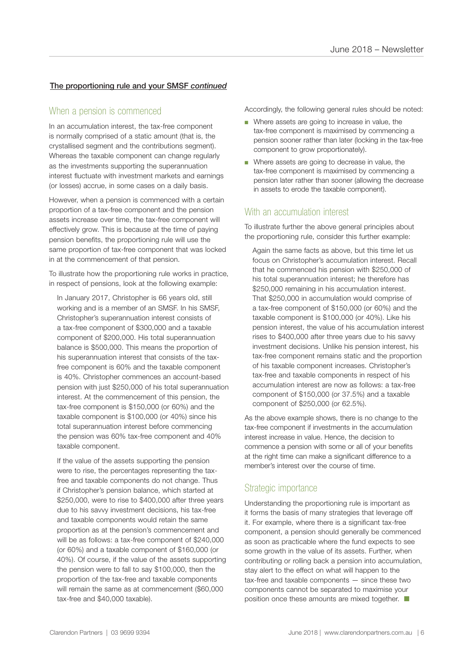#### The proportioning rule and your SMSF *continued*

#### When a pension is commenced

In an accumulation interest, the tax-free component is normally comprised of a static amount (that is, the crystallised segment and the contributions segment). Whereas the taxable component can change regularly as the investments supporting the superannuation interest fluctuate with investment markets and earnings (or losses) accrue, in some cases on a daily basis.

However, when a pension is commenced with a certain proportion of a tax-free component and the pension assets increase over time, the tax-free component will effectively grow. This is because at the time of paying pension benefits, the proportioning rule will use the same proportion of tax-free component that was locked in at the commencement of that pension.

To illustrate how the proportioning rule works in practice, in respect of pensions, look at the following example:

In January 2017, Christopher is 66 years old, still working and is a member of an SMSF. In his SMSF, Christopher's superannuation interest consists of a tax-free component of \$300,000 and a taxable component of \$200,000. His total superannuation balance is \$500,000. This means the proportion of his superannuation interest that consists of the taxfree component is 60% and the taxable component is 40%. Christopher commences an account-based pension with just \$250,000 of his total superannuation interest. At the commencement of this pension, the tax-free component is \$150,000 (or 60%) and the taxable component is \$100,000 (or 40%) since his total superannuation interest before commencing the pension was 60% tax-free component and 40% taxable component.

If the value of the assets supporting the pension were to rise, the percentages representing the taxfree and taxable components do not change. Thus if Christopher's pension balance, which started at \$250,000, were to rise to \$400,000 after three years due to his savvy investment decisions, his tax-free and taxable components would retain the same proportion as at the pension's commencement and will be as follows: a tax-free component of \$240,000 (or 60%) and a taxable component of \$160,000 (or 40%). Of course, if the value of the assets supporting the pension were to fall to say \$100,000, then the proportion of the tax-free and taxable components will remain the same as at commencement (\$60,000 tax-free and \$40,000 taxable).

Accordingly, the following general rules should be noted:

- Where assets are going to increase in value, the tax-free component is maximised by commencing a pension sooner rather than later (locking in the tax-free component to grow proportionately).
- Where assets are going to decrease in value, the tax-free component is maximised by commencing a pension later rather than sooner (allowing the decrease in assets to erode the taxable component).

#### With an accumulation interest

To illustrate further the above general principles about the proportioning rule, consider this further example:

Again the same facts as above, but this time let us focus on Christopher's accumulation interest. Recall that he commenced his pension with \$250,000 of his total superannuation interest; he therefore has \$250,000 remaining in his accumulation interest. That \$250,000 in accumulation would comprise of a tax-free component of \$150,000 (or 60%) and the taxable component is \$100,000 (or 40%). Like his pension interest, the value of his accumulation interest rises to \$400,000 after three years due to his savvy investment decisions. Unlike his pension interest, his tax-free component remains static and the proportion of his taxable component increases. Christopher's tax-free and taxable components in respect of his accumulation interest are now as follows: a tax-free component of \$150,000 (or 37.5%) and a taxable component of \$250,000 (or 62.5%).

As the above example shows, there is no change to the tax-free component if investments in the accumulation interest increase in value. Hence, the decision to commence a pension with some or all of your benefits at the right time can make a significant difference to a member's interest over the course of time.

#### Strategic importance

Understanding the proportioning rule is important as it forms the basis of many strategies that leverage off it. For example, where there is a significant tax-free component, a pension should generally be commenced as soon as practicable where the fund expects to see some growth in the value of its assets. Further, when contributing or rolling back a pension into accumulation, stay alert to the effect on what will happen to the tax-free and taxable components — since these two components cannot be separated to maximise your position once these amounts are mixed together.  $\Box$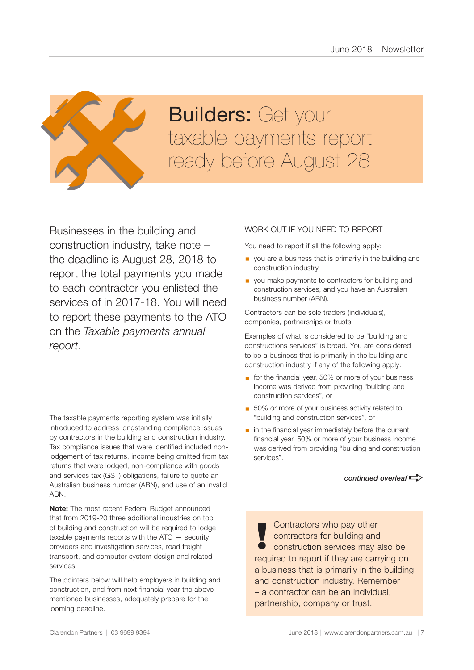

# **Builders: Get your Builders:** Get your<br>taxable payments report<br>ready before August 28

Businesses in the building and construction industry, take note – the deadline is August 28, 2018 to report the total payments you made to each contractor you enlisted the services of in 2017-18. You will need to report these payments to the ATO on the *Taxable payments annual report*.

The taxable payments reporting system was initially introduced to address longstanding compliance issues by contractors in the building and construction industry. Tax compliance issues that were identified included nonlodgement of tax returns, income being omitted from tax returns that were lodged, non-compliance with goods and services tax (GST) obligations, failure to quote an Australian business number (ABN), and use of an invalid ABN.

**Note:** The most recent Federal Budget announced that from 2019-20 three additional industries on top of building and construction will be required to lodge taxable payments reports with the ATO — security providers and investigation services, road freight transport, and computer system design and related services.

The pointers below will help employers in building and construction, and from next financial year the above mentioned businesses, adequately prepare for the looming deadline.

#### WORK OUT IF YOU NEED TO REPORT

You need to report if all the following apply:

- **•** you are a business that is primarily in the building and construction industry
- **•** you make payments to contractors for building and construction services, and you have an Australian business number (ABN).

Contractors can be sole traders (individuals), companies, partnerships or trusts.

Examples of what is considered to be "building and constructions services" is broad. You are considered to be a business that is primarily in the building and construction industry if any of the following apply:

- for the financial year, 50% or more of your business income was derived from providing "building and construction services", or
- 50% or more of your business activity related to "building and construction services", or
- in the financial year immediately before the current financial year, 50% or more of your business income was derived from providing "building and construction services".

*continued overleaf* $\Rightarrow$ 

Contractors who pay other contractors for building and **!** construction services may also be required to report if they are carrying on a business that is primarily in the building and construction industry. Remember – a contractor can be an individual, partnership, company or trust.